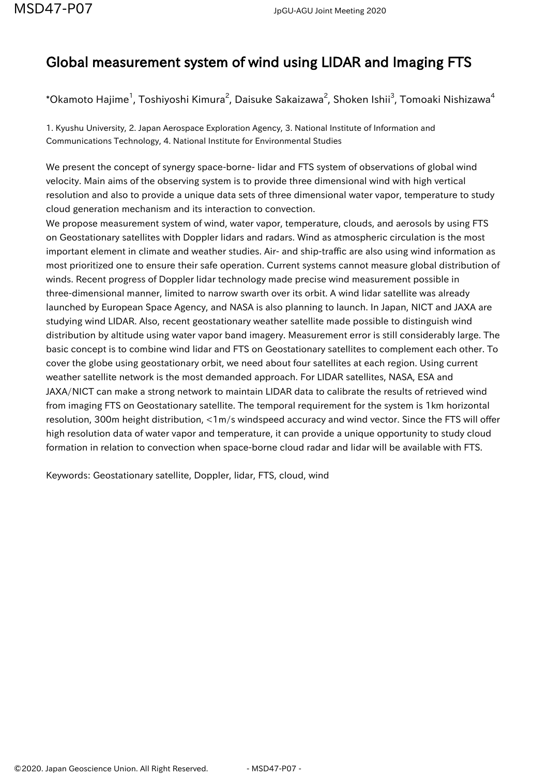## Global measurement system of wind using LIDAR and Imaging FTS

 $^\ast$ Okamoto Hajime $^1$ , Toshiyoshi Kimura $^2$ , Daisuke Sakaizawa $^2$ , Shoken Ishii $^3$ , Tomoaki Nishizawa $^4$ 

1. Kyushu University, 2. Japan Aerospace Exploration Agency, 3. National Institute of Information and Communications Technology, 4. National Institute for Environmental Studies

We present the concept of synergy space-borne- lidar and FTS system of observations of global wind velocity. Main aims of the observing system is to provide three dimensional wind with high vertical resolution and also to provide a unique data sets of three dimensional water vapor, temperature to study cloud generation mechanism and its interaction to convection.

We propose measurement system of wind, water vapor, temperature, clouds, and aerosols by using FTS on Geostationary satellites with Doppler lidars and radars. Wind as atmospheric circulation is the most important element in climate and weather studies. Air- and ship-traffic are also using wind information as most prioritized one to ensure their safe operation. Current systems cannot measure global distribution of winds. Recent progress of Doppler lidar technology made precise wind measurement possible in three-dimensional manner, limited to narrow swarth over its orbit. A wind lidar satellite was already launched by European Space Agency, and NASA is also planning to launch. In Japan, NICT and JAXA are studying wind LIDAR. Also, recent geostationary weather satellite made possible to distinguish wind distribution by altitude using water vapor band imagery. Measurement error is still considerably large. The basic concept is to combine wind lidar and FTS on Geostationary satellites to complement each other. To cover the globe using geostationary orbit, we need about four satellites at each region. Using current weather satellite network is the most demanded approach. For LIDAR satellites, NASA, ESA and JAXA/NICT can make a strong network to maintain LIDAR data to calibrate the results of retrieved wind from imaging FTS on Geostationary satellite. The temporal requirement for the system is 1km horizontal resolution, 300m height distribution, <1m/s windspeed accuracy and wind vector. Since the FTS will offer high resolution data of water vapor and temperature, it can provide a unique opportunity to study cloud formation in relation to convection when space-borne cloud radar and lidar will be available with FTS.

Keywords: Geostationary satellite, Doppler, lidar, FTS, cloud, wind